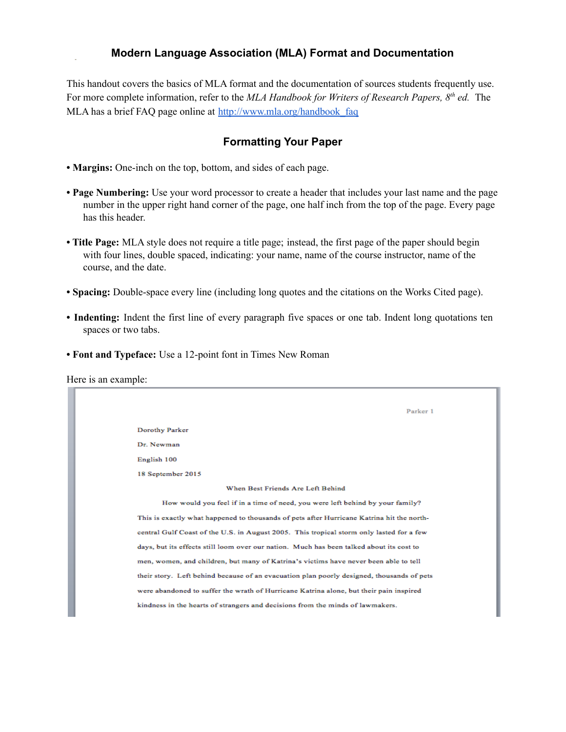# **Modern Language Association (MLA) Format and Documentation**

This handout covers the basics of MLA format and the documentation of sources students frequently use. For more complete information, refer to the *MLA Handbook for Writers of Research Papers, 8 th ed.* The MLA has a brief FAQ page online at [http://www.mla.org/handbook\\_faq](http://www.mla.org/handbook_faq)

# **Formatting Your Paper**

- **• Margins:** One-inch on the top, bottom, and sides of each page.
- **• Page Numbering:** Use your word processor to create a header that includes your last name and the page number in the upper right hand corner of the page, one half inch from the top of the page. Every page has this header.
- **• Title Page:** MLA style does not require a title page; instead, the first page of the paper should begin with four lines, double spaced, indicating: your name, name of the course instructor, name of the course, and the date.
- **• Spacing:** Double-space every line (including long quotes and the citations on the Works Cited page).
- **• Indenting:** Indent the first line of every paragraph five spaces or one tab. Indent long quotations ten spaces or two tabs.
- **• Font and Typeface:** Use a 12-point font in Times New Roman

Here is an example:

| Parker 1                                                                                  |
|-------------------------------------------------------------------------------------------|
| Dorothy Parker                                                                            |
| Dr. Newman                                                                                |
| English 100                                                                               |
| 18 September 2015                                                                         |
| When Best Friends Are Left Behind                                                         |
| How would you feel if in a time of need, you were left behind by your family?             |
| This is exactly what happened to thousands of pets after Hurricane Katrina hit the north- |
| central Gulf Coast of the U.S. in August 2005. This tropical storm only lasted for a few  |
| days, but its effects still loom over our nation. Much has been talked about its cost to  |
| men, women, and children, but many of Katrina's victims have never been able to tell      |
| their story. Left behind because of an evacuation plan poorly designed, thousands of pets |
| were abandoned to suffer the wrath of Hurricane Katrina alone, but their pain inspired    |
| kindness in the hearts of strangers and decisions from the minds of lawmakers.            |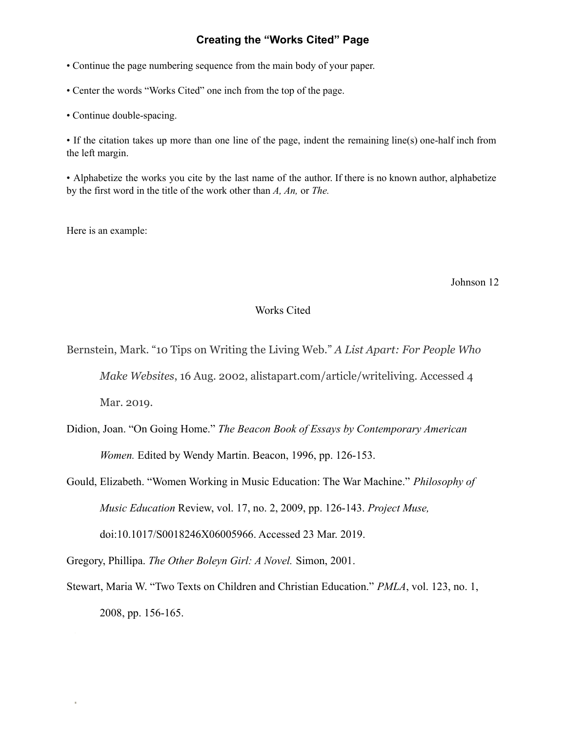# **Creating the "Works Cited" Page**

• Continue the page numbering sequence from the main body of your paper.

• Center the words "Works Cited" one inch from the top of the page.

• Continue double-spacing.

• If the citation takes up more than one line of the page, indent the remaining line(s) one-half inch from the left margin.

• Alphabetize the works you cite by the last name of the author. If there is no known author, alphabetize by the first word in the title of the work other than *A, An,* or *The.*

Here is an example:

Johnson 12

# Works Cited

Bernstein, Mark. "10 Tips on Writing the Living Web." *A List Apart: For People Who Make Websites*, 16 Aug. 2002, alistapart.com/article/writeliving. Accessed 4 Mar. 2019.

Didion, Joan. "On Going Home." *The Beacon Book of Essays by Contemporary American Women.* Edited by Wendy Martin. Beacon, 1996, pp. 126-153.

Gould, Elizabeth. "Women Working in Music Education: The War Machine." *Philosophy of Music Education* Review, vol. 17, no. 2, 2009, pp. 126-143. *Project Muse,* doi:10.1017/S0018246X06005966. Accessed 23 Mar. 2019.

Gregory, Phillipa. *The Other Boleyn Girl: A Novel.* Simon, 2001.

Stewart, Maria W. "Two Texts on Children and Christian Education." *PMLA*, vol. 123, no. 1, 2008, pp. 156-165.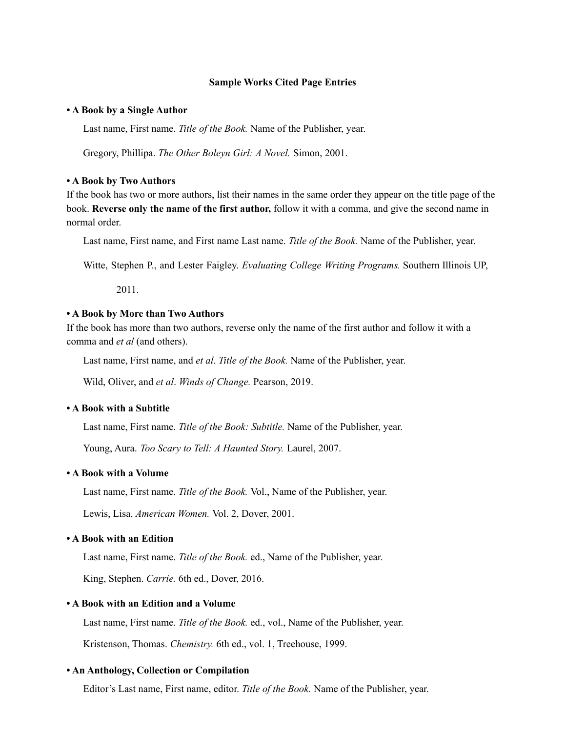### **Sample Works Cited Page Entries**

#### **• A Book by a Single Author**

Last name, First name. *Title of the Book.* Name of the Publisher, year.

Gregory, Phillipa. *The Other Boleyn Girl: A Novel.* Simon, 2001.

#### **• A Book by Two Authors**

If the book has two or more authors, list their names in the same order they appear on the title page of the book. **Reverse only the name of the first author,** follow it with a comma, and give the second name in normal order.

Last name, First name, and First name Last name. *Title of the Book.* Name of the Publisher, year.

Witte, Stephen P., and Lester Faigley. *Evaluating College Writing Programs.* Southern Illinois UP,

2011.

### **• A Book by More than Two Authors**

If the book has more than two authors, reverse only the name of the first author and follow it with a comma and *et al* (and others).

Last name, First name, and *et al*. *Title of the Book.* Name of the Publisher, year.

Wild, Oliver, and *et al*. *Winds of Change.* Pearson, 2019.

## **• A Book with a Subtitle**

Last name, First name. *Title of the Book: Subtitle.* Name of the Publisher, year.

Young, Aura. *Too Scary to Tell: A Haunted Story.* Laurel, 2007.

## **• A Book with a Volume**

Last name, First name. *Title of the Book.* Vol., Name of the Publisher, year.

Lewis, Lisa. *American Women.* Vol. 2, Dover, 2001.

# **• A Book with an Edition**

Last name, First name. *Title of the Book.* ed., Name of the Publisher, year.

King, Stephen. *Carrie.* 6th ed., Dover, 2016.

### **• A Book with an Edition and a Volume**

Last name, First name. *Title of the Book.* ed., vol., Name of the Publisher, year. Kristenson, Thomas. *Chemistry.* 6th ed., vol. 1, Treehouse, 1999.

### **• An Anthology, Collection or Compilation**

Editor's Last name, First name, editor. *Title of the Book.* Name of the Publisher, year.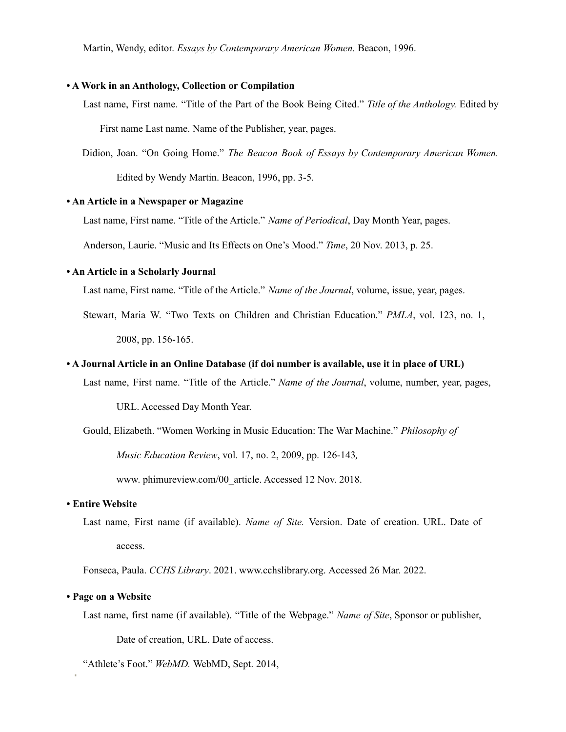Martin, Wendy, editor. *Essays by Contemporary American Women.* Beacon, 1996.

## **• A Work in an Anthology, Collection or Compilation**

Last name, First name. "Title of the Part of the Book Being Cited." *Title of the Anthology.* Edited by

First name Last name. Name of the Publisher, year, pages.

Didion, Joan. "On Going Home." *The Beacon Book of Essays by Contemporary American Women.*

Edited by Wendy Martin. Beacon, 1996, pp. 3-5.

### **• An Article in a Newspaper or Magazine**

Last name, First name. "Title of the Article." *Name of Periodical*, Day Month Year, pages.

Anderson, Laurie. "Music and Its Effects on One's Mood." *Time*, 20 Nov. 2013, p. 25.

### **• An Article in a Scholarly Journal**

Last name, First name. "Title of the Article." *Name of the Journal*, volume, issue, year, pages.

Stewart, Maria W. "Two Texts on Children and Christian Education." *PMLA*, vol. 123, no. 1, 2008, pp. 156-165.

### • A Journal Article in an Online Database (if doi number is available, use it in place of URL)

Last name, First name. "Title of the Article." *Name of the Journal*, volume, number, year, pages,

URL. Accessed Day Month Year.

Gould, Elizabeth. "Women Working in Music Education: The War Machine." *Philosophy of*

*Music Education Review*, vol. 17, no. 2, 2009, pp. 126-143*,*

www. phimureview.com/00\_article. Accessed 12 Nov. 2018.

### **• Entire Website**

Last name, First name (if available). *Name of Site.* Version. Date of creation. URL. Date of access.

Fonseca, Paula. *CCHS Library*. 2021. www.cchslibrary.org. Accessed 26 Mar. 2022.

### **• Page on a Website**

Last name, first name (if available). "Title of the Webpage." *Name of Site*, Sponsor or publisher,

Date of creation, URL. Date of access.

"Athlete's Foot." *WebMD.* WebMD, Sept. 2014,